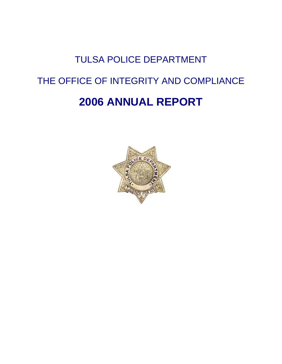## TULSA POLICE DEPARTMENT THE OFFICE OF INTEGRITY AND COMPLIANCE **2006 ANNUAL REPORT**

# CF FO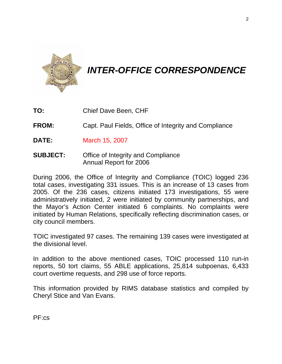

### *INTER-OFFICE CORRESPONDENCE*

- **TO:** Chief Dave Been, CHF
- **FROM:** Capt. Paul Fields, Office of Integrity and Compliance
- **DATE:** March 15, 2007
- **SUBJECT:** Office of Integrity and Compliance Annual Report for 2006

During 2006, the Office of Integrity and Compliance (TOIC) logged 236 total cases, investigating 331 issues. This is an increase of 13 cases from 2005. Of the 236 cases, citizens initiated 173 investigations, 55 were administratively initiated, 2 were initiated by community partnerships, and the Mayor's Action Center initiated 6 complaints. No complaints were initiated by Human Relations, specifically reflecting discrimination cases, or city council members.

TOIC investigated 97 cases. The remaining 139 cases were investigated at the divisional level.

In addition to the above mentioned cases, TOIC processed 110 run-in reports, 50 tort claims, 55 ABLE applications, 25,814 subpoenas, 6,433 court overtime requests, and 298 use of force reports.

This information provided by RIMS database statistics and compiled by Cheryl Stice and Van Evans.

PF:cs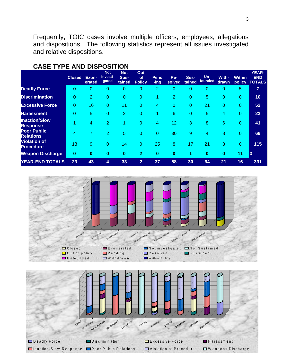Frequently, TOIC cases involve multiple officers, employees, allegations and dispositions. The following statistics represent all issues investigated and relative dispositions.

|                                         | <b>Closed</b> | Exon-<br>erated | <b>Not</b><br>investi-<br>gated | <b>Not</b><br>Sus-<br>tained | Out<br>of<br><b>Policy</b> | Pend<br>-ing   | Re-<br>solved | Sus-<br>tained | $Un-$<br>founded | With-<br>drawn | <b>Within</b><br>policy | <b>YEAR-</b><br><b>END</b><br><b>TOTALS</b> |
|-----------------------------------------|---------------|-----------------|---------------------------------|------------------------------|----------------------------|----------------|---------------|----------------|------------------|----------------|-------------------------|---------------------------------------------|
| <b>Deadly Force</b>                     | 0             | 0               | 0                               | 0                            | 0                          | $\overline{2}$ | 0             | 0              | 0                | 0              | 5                       | $\overline{7}$                              |
| <b>Discrimination</b>                   | 0             | 2               | 0                               | 0                            | 0                          |                | 2             | 0              | 5                | 0              | $\overline{0}$          | 10                                          |
| <b>Excessive Force</b>                  | 0             | 16              | 0                               | 11                           | 0                          | 4              | 0             | 0              | 21               | 0              | 0                       | 52                                          |
| <b>Harassment</b>                       | 0             | 5               | $\overline{0}$                  | $\overline{2}$               | 0                          |                | 6             | $\overline{0}$ | 5                | 4              | $\Omega$                | 23                                          |
| <b>Inaction/Slow</b><br><b>Response</b> |               | 4               | $\overline{2}$                  |                              | 0                          | 4              | 12            | 3              | 8                | 6              | $\overline{0}$          | 41                                          |
| <b>Poor Public</b><br><b>Relations</b>  | 4             | 7               | 2                               | 5                            | 0                          | 0              | 30            | 9              | 4                | 8              | 0                       | 69                                          |
| <b>Violation of</b><br><b>Procedure</b> | 18            | 9               | $\overline{0}$                  | 14                           | 0                          | 25             | 8             | 17             | 21               | 3              | $\Omega$                | 115                                         |
| <b>Weapon Discharge</b>                 | $\bf{0}$      | $\bf{0}$        | $\bf{0}$                        | $\bf{0}$                     | $\mathbf{2}$               | $\bf{0}$       | $\bf{0}$      | 1              | $\bf{0}$         | $\mathbf{0}$   | 11                      | <b>3</b>                                    |
| <b>YEAR-END TOTALS</b>                  | 23            | 43              | 4                               | 33                           | 2                          | 37             | 58            | 30             | 64               | 21             | 16                      | 331                                         |

#### **CASE TYPE AND DISPOSITION**



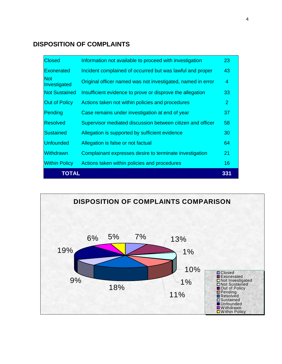#### **DISPOSITION OF COMPLAINTS**

| <b>Closed</b>              | Information not available to proceed with investigation     | 23             |
|----------------------------|-------------------------------------------------------------|----------------|
| <b>Exonerated</b>          | Incident complained of occurred but was lawful and proper   | 43             |
| <b>Not</b><br>Investigated | Original officer named was not investigated, named in error | 4              |
| <b>Not Sustained</b>       | Insufficient evidence to prove or disprove the allegation   | 33             |
| <b>Out of Policy</b>       | Actions taken not within policies and procedures            | $\overline{2}$ |
| Pending                    | Case remains under investigation at end of year             | 37             |
| <b>Resolved</b>            | Supervisor mediated discussion between citizen and officer  | 58             |
| <b>Sustained</b>           | Allegation is supported by sufficient evidence              | 30             |
| <b>Unfounded</b>           | Allegation is false or not factual                          | 64             |
| <b>Withdrawn</b>           | Complainant expresses desire to terminate investigation     | 21             |
| <b>Within Policy</b>       | Actions taken within policies and procedures                | 16             |
| <b>TOTAL</b>               |                                                             | 331            |

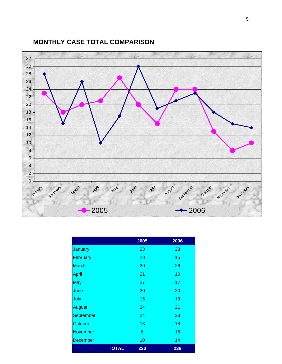#### **MONTHLY CASE TOTAL COMPARISON**



|                 |              | 2005 | 2006 |
|-----------------|--------------|------|------|
| January         |              | 23   | 28   |
| February        |              | 18   | 15   |
| <b>March</b>    |              | 20   | 26   |
| April           |              | 21   | 10   |
| <b>May</b>      |              | 27   | 17   |
| June            |              | 20   | 30   |
| July            |              | 15   | 19   |
| <b>August</b>   |              | 24   | 21   |
| September       |              | 24   | 23   |
| October         |              | 13   | 18   |
| <b>November</b> |              | 8    | 15   |
| <b>December</b> |              | 10   | 14   |
|                 | <b>TOTAL</b> | 223  | 236  |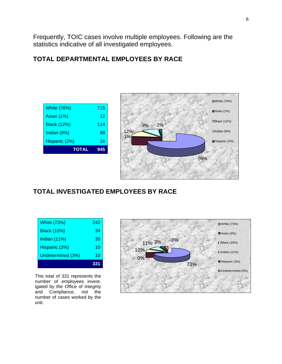Frequently, TOIC cases involve multiple employees. Following are the statistics indicative of all investigated employees.

#### **TOTAL DEPARTMENTAL EMPLOYEES BY RACE**





#### **TOTAL INVESTIGATED EMPLOYEES BY RACE**

| <b>White (73%)</b> | 242 |
|--------------------|-----|
| <b>Black (10%)</b> | 34  |
| Indian (11%)       | 35  |
| Hispanic (3%)      | 10  |
| Undetermined (3%)  | 10  |
|                    | 331 |

This total of 331 represents the number of employees investigated by the Office of Integrity and Compliance, not the number of cases worked by the unit.

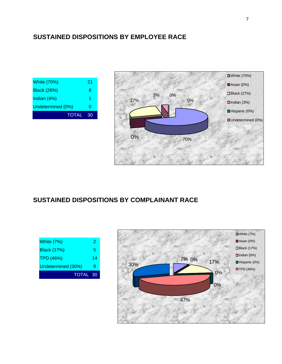#### **SUSTAINED DISPOSITIONS BY EMPLOYEE RACE**

| <b>White (70%)</b> | 21 |
|--------------------|----|
| <b>Black (26%)</b> | 8  |
| Indian (4%)        | 1  |
| Undetermined (0%)  | O  |
| <b>TOTAL</b>       | 30 |



#### **SUSTAINED DISPOSITIONS BY COMPLAINANT RACE**

| White (7%)         | 2  |
|--------------------|----|
| <b>Black (17%)</b> | 5  |
| <b>TPD (46%)</b>   | 14 |
| Undetermined (30%) | g  |
| <b>TOTAL 30</b>    |    |

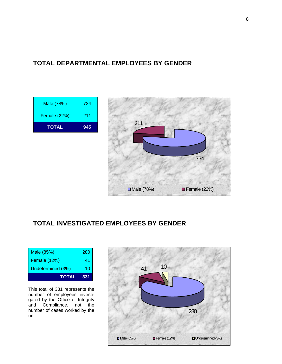#### **TOTAL DEPARTMENTAL EMPLOYEES BY GENDER**

| <b>TOTAL</b>        | 945 |
|---------------------|-----|
| <b>Female (22%)</b> | 211 |
| Male (78%)          | 734 |



#### **TOTAL INVESTIGATED EMPLOYEES BY GENDER**

| <b>TOTAL</b>             | 331 |
|--------------------------|-----|
| <b>Undetermined (3%)</b> | 10  |
| <b>Female (12%)</b>      | 41  |
| Male (85%)               | 280 |

This total of 331 represents the number of employees investigated by the Office of Integrity and Compliance, not the number of cases worked by the unit.

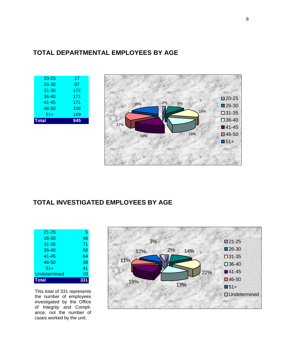#### **TOTAL DEPARTMENTAL EMPLOYEES BY AGE**

| $20 - 25$    | 17  |
|--------------|-----|
| $26 - 30$    | 87  |
| $31 - 35$    | 172 |
| $36 - 40$    | 171 |
| 41-45        | 171 |
| 46-50        | 158 |
| $51+$        | 169 |
| <b>Total</b> | 945 |
|              |     |



#### **TOTAL INVESTIGATED EMPLOYEES BY AGE**

| $21 - 25$    | 5   |
|--------------|-----|
| $26 - 30$    | 46  |
| $31 - 35$    | 71  |
| 36-40        | 56  |
| 41-45        | 64  |
| 46-50        | 38  |
| $51+$        | 41  |
| Undetermined | 10  |
| <b>Total</b> | 331 |

This total of 331 represents the number of employees investigated by the Office of Integrity and Compliance, not the number of cases worked by the unit.

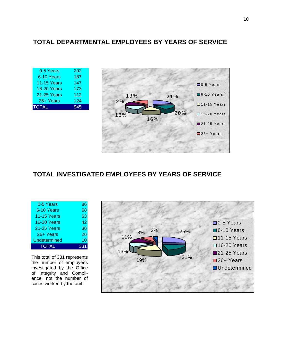#### **TOTAL DEPARTMENTAL EMPLOYEES BY YEARS OF SERVICE**

| 0-5 Years          | 202 |
|--------------------|-----|
| 6-10 Years         | 187 |
| <b>11-15 Years</b> | 147 |
| 16-20 Years        | 173 |
| 21-25 Years        | 112 |
| 26+ Years          | 124 |
| <b>TOTAL</b>       | 945 |



#### **TOTAL INVESTIGATED EMPLOYEES BY YEARS OF SERVICE**

| 0-5 Years           | 86  |
|---------------------|-----|
| 6-10 Years          | 68  |
| <b>11-15 Years</b>  | 63  |
| 16-20 Years         | 42  |
| 21-25 Years         | 36  |
| 26+ Years           | 26  |
| <b>Undetermined</b> | 10  |
| <b>TOTAL</b>        | 331 |

This total of 331 represents the number of employees investigated by the Office of Integrity and Compliance, not the number of cases worked by the unit.

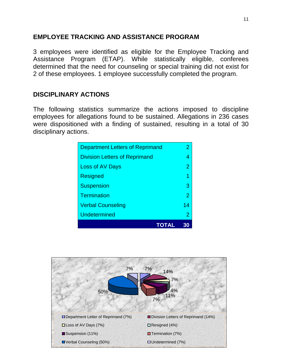#### **EMPLOYEE TRACKING AND ASSISTANCE PROGRAM**

3 employees were identified as eligible for the Employee Tracking and Assistance Program (ETAP). While statistically eligible, conferees determined that the need for counseling or special training did not exist for 2 of these employees. 1 employee successfully completed the program.

#### **DISCIPLINARY ACTIONS**

The following statistics summarize the actions imposed to discipline employees for allegations found to be sustained. Allegations in 236 cases were dispositioned with a finding of sustained, resulting in a total of 30 disciplinary actions.

| <b>Undetermined</b>                    | $\overline{2}$ |
|----------------------------------------|----------------|
| <b>Verbal Counseling</b>               | 14             |
| <b>Termination</b>                     | $\overline{2}$ |
| <b>Suspension</b>                      | 3              |
| <b>Resigned</b>                        |                |
| <b>Loss of AV Days</b>                 | $\overline{2}$ |
| <b>Division Letters of Reprimand</b>   | 4              |
| <b>Department Letters of Reprimand</b> | 2              |

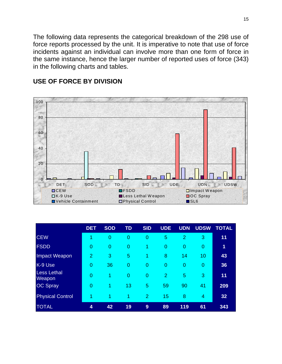The following data represents the categorical breakdown of the 298 use of force reports processed by the unit. It is imperative to note that use of force incidents against an individual can involve more than one form of force in the same instance, hence the larger number of reported uses of force (343) in the following charts and tables.



#### **USE OF FORCE BY DIVISION**

|                              | <b>DET</b>     | <b>SOD</b>           | <b>TD</b>      | <b>SID</b>     | <b>UDE</b>     | <b>UDN</b>     | <b>UDSW</b>    | <b>TOTAL</b> |
|------------------------------|----------------|----------------------|----------------|----------------|----------------|----------------|----------------|--------------|
| <b>CEW</b>                   | 1              | $\overline{0}$       | $\overline{0}$ | $\overline{0}$ | 5              | 2              | 3              | 11           |
| <b>FSDD</b>                  | $\overline{0}$ | $\overline{0}$       | $\overline{0}$ | 1              | $\overline{0}$ | $\overline{0}$ | $\overline{0}$ | 1            |
| <b>Impact Weapon</b>         | 2              | 3                    | 5              | 1              | 8              | 14             | 10             | 43           |
| K-9 Use                      | 0              | 36                   | $\overline{0}$ | $\overline{0}$ | $\overline{0}$ | $\overline{0}$ | $\overline{0}$ | 36           |
| <b>Less Lethal</b><br>Weapon | $\overline{0}$ | 1                    | $\overline{0}$ | $\overline{0}$ | $\overline{2}$ | 5              | 3              | 11           |
| <b>OC Spray</b>              | $\overline{0}$ | $\blacktriangleleft$ | 13             | 5              | 59             | 90             | 41             | 209          |
| <b>Physical Control</b>      |                | 1                    | 1              | 2              | 15             | 8              | 4              | 32           |
| <b>TOTAL</b>                 | 4              | 42                   | 19             | 9              | 89             | 119            | 61             | 343          |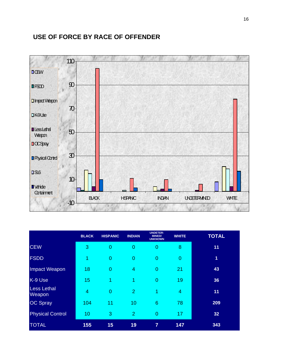#### **USE OF FORCE BY RACE OF OFFENDER**



|                                     | <b>BLACK</b>   | <b>HISPANIC</b> | <b>INDIAN</b>  | <b>UNDETER-</b><br><b>MINED/</b><br><b>UNKNOWN</b> | <b>WHITE</b>   | <b>TOTAL</b>   |
|-------------------------------------|----------------|-----------------|----------------|----------------------------------------------------|----------------|----------------|
| <b>CEW</b>                          | 3              | 0               | $\overline{0}$ | $\overline{0}$                                     | 8              | 11             |
| <b>FSDD</b>                         | 1              | 0               | $\overline{0}$ | $\overline{0}$                                     | $\mathbf{0}$   | $\overline{1}$ |
| Impact Weapon                       | 18             | $\overline{0}$  | $\overline{4}$ | $\overline{0}$                                     | 21             | 43             |
| K-9 Use                             | 15             | 1               | 1              | $\overline{0}$                                     | 19             | 36             |
| <b>Less Lethal</b><br><b>Weapon</b> | $\overline{4}$ | $\overline{0}$  | $\overline{2}$ | 1                                                  | $\overline{4}$ | 11             |
| <b>OC Spray</b>                     | 104            | 11              | 10             | 6                                                  | 78             | 209            |
| <b>Physical Control</b>             | 10             | 3               | $\overline{2}$ | $\overline{0}$                                     | 17             | 32             |
| <b>TOTAL</b>                        | 155            | 15              | 19             | $\overline{7}$                                     | 147            | 343            |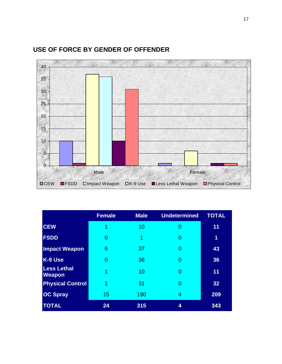

#### **USE OF FORCE BY GENDER OF OFFENDER**

|                                     | <b>Female</b> | <b>Male</b> | <b>Undetermined</b> | <b>TOTAL</b> |
|-------------------------------------|---------------|-------------|---------------------|--------------|
| <b>CEW</b>                          | 1             | 10          |                     | 11           |
| <b>FSDD</b>                         | $\Omega$      | 1           | 0                   | 1            |
| <b>Impact Weapon</b>                | 6             | 37          | 0                   | 43           |
| K-9 Use                             | $\Omega$      | 36          | 0                   | 36           |
| <b>Less Lethal</b><br><b>Weapon</b> | 1             | 10          | 0                   | 11           |
| <b>Physical Control</b>             | 1             | 31          | 0                   | 32           |
| <b>OC Spray</b>                     | 15            | 190         | 4                   | 209          |
| <b>TOTAL</b>                        | 24            | 315         | 4                   | 343          |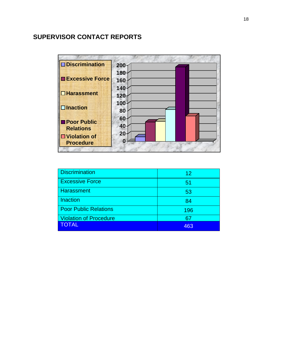#### **SUPERVISOR CONTACT REPORTS**

| $\square$ Discrimination | 200 |  |
|--------------------------|-----|--|
|                          | 180 |  |
| <b>Excessive Force</b>   | 160 |  |
|                          | 140 |  |
| $\Box$ Harassment        | 120 |  |
|                          | 100 |  |
| $\square$ Inaction       | 80  |  |
| <b>Poor Public</b>       | 60  |  |
| <b>Relations</b>         | 40  |  |
| <b>□</b> Violation of    | 20  |  |
| <b>Procedure</b>         | 0   |  |

| <b>Discrimination</b>         | 12  |
|-------------------------------|-----|
| <b>Excessive Force</b>        | 51  |
| <b>Harassment</b>             | 53  |
| <b>Inaction</b>               | 84  |
| <b>Poor Public Relations</b>  | 196 |
| <b>Violation of Procedure</b> | 67  |
| <b>TOTAL</b>                  | 463 |